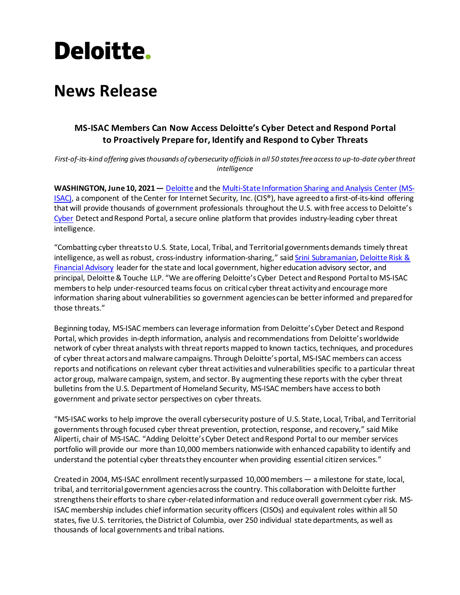# **Deloitte.**

## **News Release**

### **MS-ISAC Members Can Now Access Deloitte's Cyber Detect and Respond Portal to Proactively Prepare for, Identify and Respond to Cyber Threats**

*First-of-its-kind offering givesthousands of cybersecurity officials in all 50 states free access to up-to-date cyber threat intelligence*

**WASHINGTON, June 10, 2021—** [Deloitte](https://www2.deloitte.com/global/en/industries/government-public-services.html?id=us:2sm:3pr:msisac21:awa:adv:060121:dgps) and th[e Multi-State Information Sharing and Analysis Center](https://www.cisecurity.org/ms-isac/) (MS-[ISAC\),](https://www.cisecurity.org/ms-isac/) a component of the Center for Internet Security, Inc. (CIS®), have agreed to a first-of-its-kind offering that will provide thousands of government professionals throughout the U.S. with free access to Deloitte's [Cyber](https://www2.deloitte.com/us/en/pages/risk/solutions/cyber-risk-services.html?id=us:2sm:3pr:msisac21:awa:adv:060121:cyber) Detect and Respond Portal, a secure online platform that provides industry-leading cyber threat intelligence.

"Combatting cyber threats to U.S. State, Local, Tribal, and Territorial governmentsdemands timely threat intelligence, as well as robust, cross-industry information-sharing," said [Srini Subramanian,](https://www2.deloitte.com/us/en/profiles/ssubramanian.html?id=us:2sm:3pr:msisac21:awa:adv:060121:adv) Deloitte Risk & [Financial Advisory](https://www2.deloitte.com/us/en/services/advisory.html?icid=top_advisory?id=us:2sm:3pr:msisac21:awa:adv:060121:adv) leader for the state and local government, higher education advisory sector, and principal, Deloitte & Touche LLP. "We are offering Deloitte's Cyber Detect and Respond Portal to MS-ISAC members to help under-resourced teams focus on critical cyber threat activity and encourage more information sharing about vulnerabilities so government agencies can be better informed and prepared for those threats."

Beginning today, MS-ISAC members can leverage information from Deloitte's Cyber Detect and Respond Portal, which provides in-depth information, analysis and recommendations from Deloitte's worldwide network of cyber threat analysts with threat reports mapped to known tactics, techniques, and procedures of cyber threat actors and malware campaigns. Through Deloitte's portal, MS-ISAC members can access reports and notifications on relevant cyber threat activities and vulnerabilities specific to a particular threat actor group, malware campaign, system, and sector. By augmenting these reports with the cyber threat bulletins from the U.S. Department of Homeland Security, MS-ISAC members have access to both government and private sector perspectives on cyber threats.

"MS-ISAC works to help improve the overall cybersecurity posture of U.S. State, Local, Tribal, and Territorial governments through focused cyber threat prevention, protection, response, and recovery," said Mike Aliperti, chair of MS-ISAC. "Adding Deloitte's Cyber Detect and Respond Portal to our member services portfolio will provide our more than 10,000 members nationwide with enhanced capability to identify and understand the potential cyber threats they encounter when providing essential citizen services."

Created in 2004, MS-ISAC enrollment recently surpassed 10,000members — a milestone for state, local, tribal, and territorial government agencies across the country. This collaboration with Deloitte further strengthens their efforts to share cyber-related information and reduce overall government cyber risk. MS-ISAC membership includes chief information security officers (CISOs) and equivalent roles within all 50 states, five U.S. territories, the District of Columbia, over 250 individual state departments, as well as thousands of local governments and tribal nations.